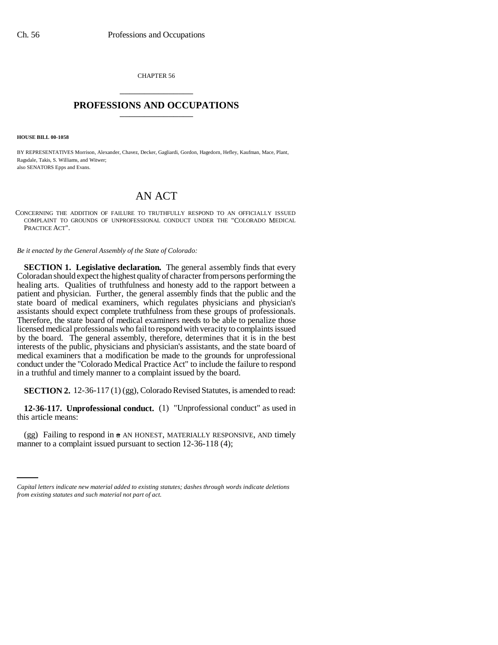CHAPTER 56 \_\_\_\_\_\_\_\_\_\_\_\_\_\_\_

## **PROFESSIONS AND OCCUPATIONS** \_\_\_\_\_\_\_\_\_\_\_\_\_\_\_

**HOUSE BILL 00-1058** 

BY REPRESENTATIVES Morrison, Alexander, Chavez, Decker, Gagliardi, Gordon, Hagedorn, Hefley, Kaufman, Mace, Plant, Ragsdale, Takis, S. Williams, and Witwer; also SENATORS Epps and Evans.

## AN ACT

CONCERNING THE ADDITION OF FAILURE TO TRUTHFULLY RESPOND TO AN OFFICIALLY ISSUED COMPLAINT TO GROUNDS OF UNPROFESSIONAL CONDUCT UNDER THE "COLORADO MEDICAL PRACTICE ACT".

*Be it enacted by the General Assembly of the State of Colorado:*

**SECTION 1. Legislative declaration.** The general assembly finds that every Coloradan should expect the highest quality of character from persons performing the healing arts. Qualities of truthfulness and honesty add to the rapport between a patient and physician. Further, the general assembly finds that the public and the state board of medical examiners, which regulates physicians and physician's assistants should expect complete truthfulness from these groups of professionals. Therefore, the state board of medical examiners needs to be able to penalize those licensed medical professionals who fail to respond with veracity to complaints issued by the board. The general assembly, therefore, determines that it is in the best interests of the public, physicians and physician's assistants, and the state board of medical examiners that a modification be made to the grounds for unprofessional conduct under the "Colorado Medical Practice Act" to include the failure to respond in a truthful and timely manner to a complaint issued by the board.

**SECTION 2.** 12-36-117 (1) (gg), Colorado Revised Statutes, is amended to read:

**12-36-117. Unprofessional conduct.** (1) "Unprofessional conduct" as used in this article means:

(gg) Failing to respond in  $a$  AN HONEST, MATERIALLY RESPONSIVE, AND timely manner to a complaint issued pursuant to section 12-36-118 (4);

*Capital letters indicate new material added to existing statutes; dashes through words indicate deletions from existing statutes and such material not part of act.*